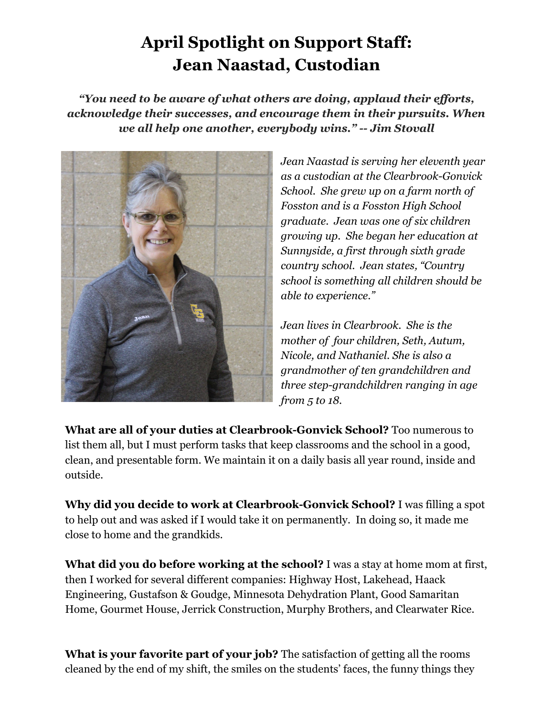## **April Spotlight on Support Staff: Jean Naastad, Custodian**

*"You need to be aware of what others are doing, applaud their efforts, acknowledge their successes, and encourage them in their pursuits. When we all help one another, everybody wins." -- Jim Stovall*



*Jean Naastad is serving her eleventh year as a custodian at the Clearbrook-Gonvick School. She grew up on a farm north of Fosston and is a Fosston High School graduate. Jean was one of six children growing up. She began her education at Sunnyside, a first through sixth grade country school. Jean states, "Country school is something all children should be able to experience."*

*Jean lives in Clearbrook. She is the mother of four children, Seth, Autum, Nicole, and Nathaniel. She is also a grandmother of ten grandchildren and three step-grandchildren ranging in age from 5 to 18.*

**What are all of your duties at Clearbrook-Gonvick School?** Too numerous to list them all, but I must perform tasks that keep classrooms and the school in a good, clean, and presentable form. We maintain it on a daily basis all year round, inside and outside.

**Why did you decide to work at Clearbrook-Gonvick School?** I was filling a spot to help out and was asked if I would take it on permanently. In doing so, it made me close to home and the grandkids.

**What did you do before working at the school?** I was a stay at home mom at first, then I worked for several different companies: Highway Host, Lakehead, Haack Engineering, Gustafson & Goudge, Minnesota Dehydration Plant, Good Samaritan Home, Gourmet House, Jerrick Construction, Murphy Brothers, and Clearwater Rice.

**What is your favorite part of your job?** The satisfaction of getting all the rooms cleaned by the end of my shift, the smiles on the students' faces, the funny things they